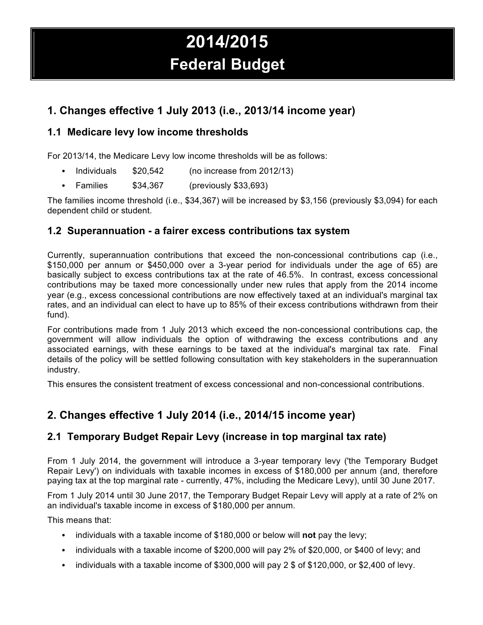# **2014/2015 Federal Budget**

# **1. Changes effective 1 July 2013 (i.e., 2013/14 income year)**

## **1.1 Medicare levy low income thresholds**

For 2013/14, the Medicare Levy low income thresholds will be as follows:

- Individuals \$20,542 (no increase from 2012/13)
- Families \$34,367 (previously \$33,693)

The families income threshold (i.e., \$34,367) will be increased by \$3,156 (previously \$3,094) for each dependent child or student.

## **1.2 Superannuation - a fairer excess contributions tax system**

Currently, superannuation contributions that exceed the non-concessional contributions cap (i.e., \$150,000 per annum or \$450,000 over a 3-year period for individuals under the age of 65) are basically subject to excess contributions tax at the rate of 46.5%. In contrast, excess concessional contributions may be taxed more concessionally under new rules that apply from the 2014 income year (e.g., excess concessional contributions are now effectively taxed at an individual's marginal tax rates, and an individual can elect to have up to 85% of their excess contributions withdrawn from their fund).

For contributions made from 1 July 2013 which exceed the non-concessional contributions cap, the government will allow individuals the option of withdrawing the excess contributions and any associated earnings, with these earnings to be taxed at the individual's marginal tax rate. Final details of the policy will be settled following consultation with key stakeholders in the superannuation industry.

This ensures the consistent treatment of excess concessional and non-concessional contributions.

# **2. Changes effective 1 July 2014 (i.e., 2014/15 income year)**

## **2.1 Temporary Budget Repair Levy (increase in top marginal tax rate)**

From 1 July 2014, the government will introduce a 3-year temporary levy ('the Temporary Budget Repair Levy') on individuals with taxable incomes in excess of \$180,000 per annum (and, therefore paying tax at the top marginal rate - currently, 47%, including the Medicare Levy), until 30 June 2017.

From 1 July 2014 until 30 June 2017, the Temporary Budget Repair Levy will apply at a rate of 2% on an individual's taxable income in excess of \$180,000 per annum.

This means that:

- individuals with a taxable income of \$180,000 or below will **not** pay the levy;
- individuals with a taxable income of \$200,000 will pay 2% of \$20,000, or \$400 of levy; and
- individuals with a taxable income of \$300,000 will pay 2 \$ of \$120,000, or \$2,400 of levy.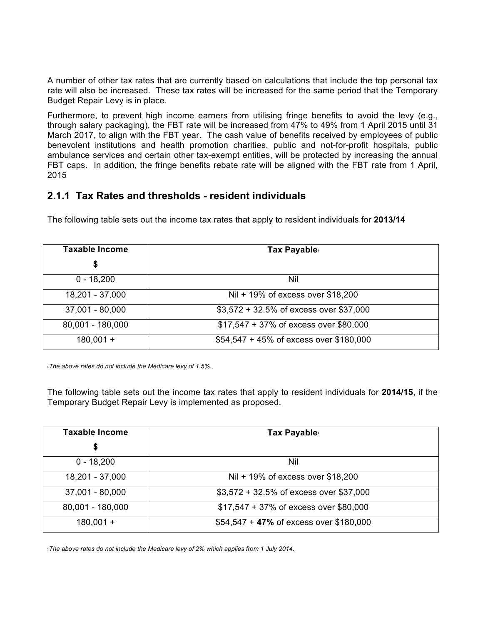A number of other tax rates that are currently based on calculations that include the top personal tax rate will also be increased. These tax rates will be increased for the same period that the Temporary Budget Repair Levy is in place.

Furthermore, to prevent high income earners from utilising fringe benefits to avoid the levy (e.g., through salary packaging), the FBT rate will be increased from 47% to 49% from 1 April 2015 until 31 March 2017, to align with the FBT year. The cash value of benefits received by employees of public benevolent institutions and health promotion charities, public and not-for-profit hospitals, public ambulance services and certain other tax-exempt entities, will be protected by increasing the annual FBT caps. In addition, the fringe benefits rebate rate will be aligned with the FBT rate from 1 April, 2015

#### **2.1.1 Tax Rates and thresholds - resident individuals**

The following table sets out the income tax rates that apply to resident individuals for **2013/14**

| <b>Taxable Income</b> | Tax Payable:                            |
|-----------------------|-----------------------------------------|
| \$                    |                                         |
| $0 - 18,200$          | Nil                                     |
| 18,201 - 37,000       | Nil + 19% of excess over \$18,200       |
| 37,001 - 80,000       | \$3,572 + 32.5% of excess over \$37,000 |
| 80,001 - 180,000      | \$17,547 + 37% of excess over \$80,000  |
| $180,001 +$           | \$54,547 + 45% of excess over \$180,000 |

<sup>1</sup>*The above rates do not include the Medicare levy of 1.5%.*

The following table sets out the income tax rates that apply to resident individuals for **2014/15**, if the Temporary Budget Repair Levy is implemented as proposed.

| <b>Taxable Income</b> | Tax Payable:                            |
|-----------------------|-----------------------------------------|
| \$                    |                                         |
| $0 - 18,200$          | Nil                                     |
| 18,201 - 37,000       | Nil + 19% of excess over \$18,200       |
| $37,001 - 80,000$     | \$3,572 + 32.5% of excess over \$37,000 |
| 80,001 - 180,000      | \$17,547 + 37% of excess over \$80,000  |
| $180,001 +$           | \$54,547 + 47% of excess over \$180,000 |

<sup>1</sup>*The above rates do not include the Medicare levy of 2% which applies from 1 July 2014.*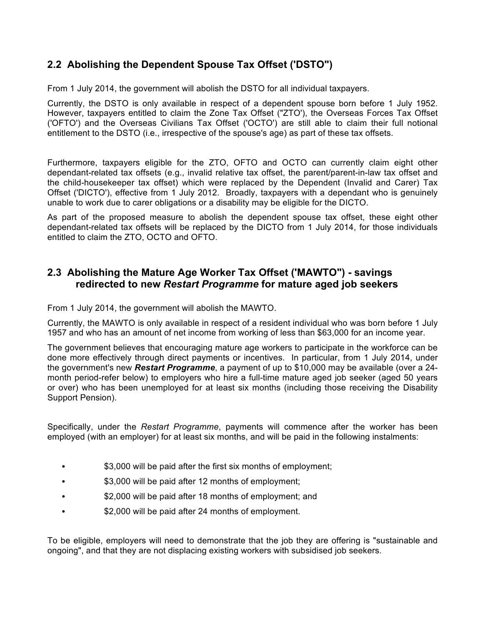## **2.2 Abolishing the Dependent Spouse Tax Offset ('DSTO")**

From 1 July 2014, the government will abolish the DSTO for all individual taxpayers.

Currently, the DSTO is only available in respect of a dependent spouse born before 1 July 1952. However, taxpayers entitled to claim the Zone Tax Offset ("ZTO'), the Overseas Forces Tax Offset ('OFTO') and the Overseas Civilians Tax Offset ('OCTO') are still able to claim their full notional entitlement to the DSTO (i.e., irrespective of the spouse's age) as part of these tax offsets.

Furthermore, taxpayers eligible for the ZTO, OFTO and OCTO can currently claim eight other dependant-related tax offsets (e.g., invalid relative tax offset, the parent/parent-in-law tax offset and the child-housekeeper tax offset) which were replaced by the Dependent (Invalid and Carer) Tax Offset ('DICTO'), effective from 1 July 2012. Broadly, taxpayers with a dependant who is genuinely unable to work due to carer obligations or a disability may be eligible for the DICTO.

As part of the proposed measure to abolish the dependent spouse tax offset, these eight other dependant-related tax offsets will be replaced by the DICTO from 1 July 2014, for those individuals entitled to claim the ZTO, OCTO and OFTO.

## **2.3 Abolishing the Mature Age Worker Tax Offset ('MAWTO") - savings redirected to new** *Restart Programme* **for mature aged job seekers**

From 1 July 2014, the government will abolish the MAWTO.

Currently, the MAWTO is only available in respect of a resident individual who was born before 1 July 1957 and who has an amount of net income from working of less than \$63,000 for an income year.

The government believes that encouraging mature age workers to participate in the workforce can be done more effectively through direct payments or incentives. In particular, from 1 July 2014, under the government's new *Restart Programme*, a payment of up to \$10,000 may be available (over a 24 month period-refer below) to employers who hire a full-time mature aged job seeker (aged 50 years or over) who has been unemployed for at least six months (including those receiving the Disability Support Pension).

Specifically, under the *Restart Programme*, payments will commence after the worker has been employed (with an employer) for at least six months, and will be paid in the following instalments:

- \$3,000 will be paid after the first six months of employment;
- \$3,000 will be paid after 12 months of employment;
- \$2,000 will be paid after 18 months of employment; and
- \$2,000 will be paid after 24 months of employment.

To be eligible, employers will need to demonstrate that the job they are offering is "sustainable and ongoing", and that they are not displacing existing workers with subsidised job seekers.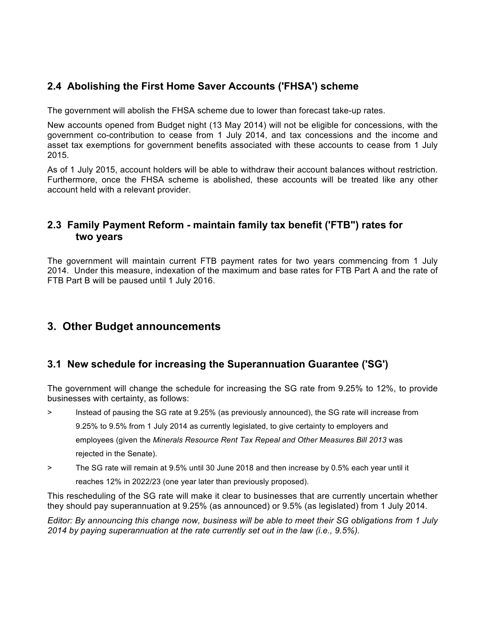## **2.4 Abolishing the First Home Saver Accounts ('FHSA') scheme**

The government will abolish the FHSA scheme due to lower than forecast take-up rates.

New accounts opened from Budget night (13 May 2014) will not be eligible for concessions, with the government co-contribution to cease from 1 July 2014, and tax concessions and the income and asset tax exemptions for government benefits associated with these accounts to cease from 1 July 2015.

As of 1 July 2015, account holders will be able to withdraw their account balances without restriction. Furthermore, once the FHSA scheme is abolished, these accounts will be treated like any other account held with a relevant provider.

## **2.3 Family Payment Reform - maintain family tax benefit ('FTB") rates for two years**

The government will maintain current FTB payment rates for two years commencing from 1 July 2014. Under this measure, indexation of the maximum and base rates for FTB Part A and the rate of FTB Part B will be paused until 1 July 2016.

## **3. Other Budget announcements**

#### **3.1 New schedule for increasing the Superannuation Guarantee ('SG')**

The government will change the schedule for increasing the SG rate from 9.25% to 12%, to provide businesses with certainty, as follows:

> Instead of pausing the SG rate at 9.25% (as previously announced), the SG rate will increase from

9.25% to 9.5% from 1 July 2014 as currently legislated, to give certainty to employers and

employees (given the *Minerals Resource Rent Tax Repeal and Other Measures Bill 2013* was

rejected in the Senate).

> The SG rate will remain at 9.5% until 30 June 2018 and then increase by 0.5% each year until it

reaches 12% in 2022/23 (one year later than previously proposed).

This rescheduling of the SG rate will make it clear to businesses that are currently uncertain whether they should pay superannuation at 9.25% (as announced) or 9.5% (as legislated) from 1 July 2014.

*Editor: By announcing this change now, business will be able to meet their SG obligations from 1 July 2014 by paying superannuation at the rate currently set out in the law (i.e., 9.5%).*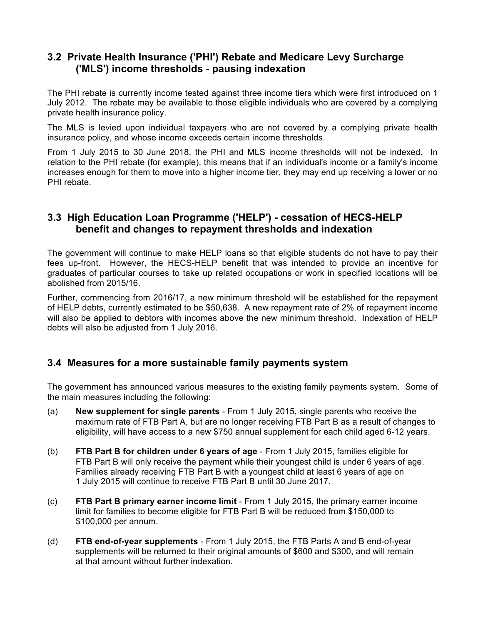## **3.2 Private Health Insurance ('PHI') Rebate and Medicare Levy Surcharge ('MLS') income thresholds - pausing indexation**

The PHI rebate is currently income tested against three income tiers which were first introduced on 1 July 2012. The rebate may be available to those eligible individuals who are covered by a complying private health insurance policy.

The MLS is levied upon individual taxpayers who are not covered by a complying private health insurance policy, and whose income exceeds certain income thresholds.

From 1 July 2015 to 30 June 2018, the PHI and MLS income thresholds will not be indexed. In relation to the PHI rebate (for example), this means that if an individual's income or a family's income increases enough for them to move into a higher income tier, they may end up receiving a lower or no PHI rebate.

## **3.3 High Education Loan Programme ('HELP') - cessation of HECS-HELP benefit and changes to repayment thresholds and indexation**

The government will continue to make HELP loans so that eligible students do not have to pay their fees up-front. However, the HECS-HELP benefit that was intended to provide an incentive for graduates of particular courses to take up related occupations or work in specified locations will be abolished from 2015/16.

Further, commencing from 2016/17, a new minimum threshold will be established for the repayment of HELP debts, currently estimated to be \$50,638. A new repayment rate of 2% of repayment income will also be applied to debtors with incomes above the new minimum threshold. Indexation of HELP debts will also be adjusted from 1 July 2016.

#### **3.4 Measures for a more sustainable family payments system**

The government has announced various measures to the existing family payments system. Some of the main measures including the following:

- (a) **New supplement for single parents** From 1 July 2015, single parents who receive the maximum rate of FTB Part A, but are no longer receiving FTB Part B as a result of changes to eligibility, will have access to a new \$750 annual supplement for each child aged 6-12 years.
- (b) **FTB Part B for children under 6 years of age** From 1 July 2015, families eligible for FTB Part B will only receive the payment while their youngest child is under 6 years of age. Families already receiving FTB Part B with a youngest child at least 6 years of age on 1 July 2015 will continue to receive FTB Part B until 30 June 2017.
- (c) **FTB Part B primary earner income limit** From 1 July 2015, the primary earner income limit for families to become eligible for FTB Part B will be reduced from \$150,000 to \$100,000 per annum.
- (d) **FTB end-of-year supplements** From 1 July 2015, the FTB Parts A and B end-of-year supplements will be returned to their original amounts of \$600 and \$300, and will remain at that amount without further indexation.